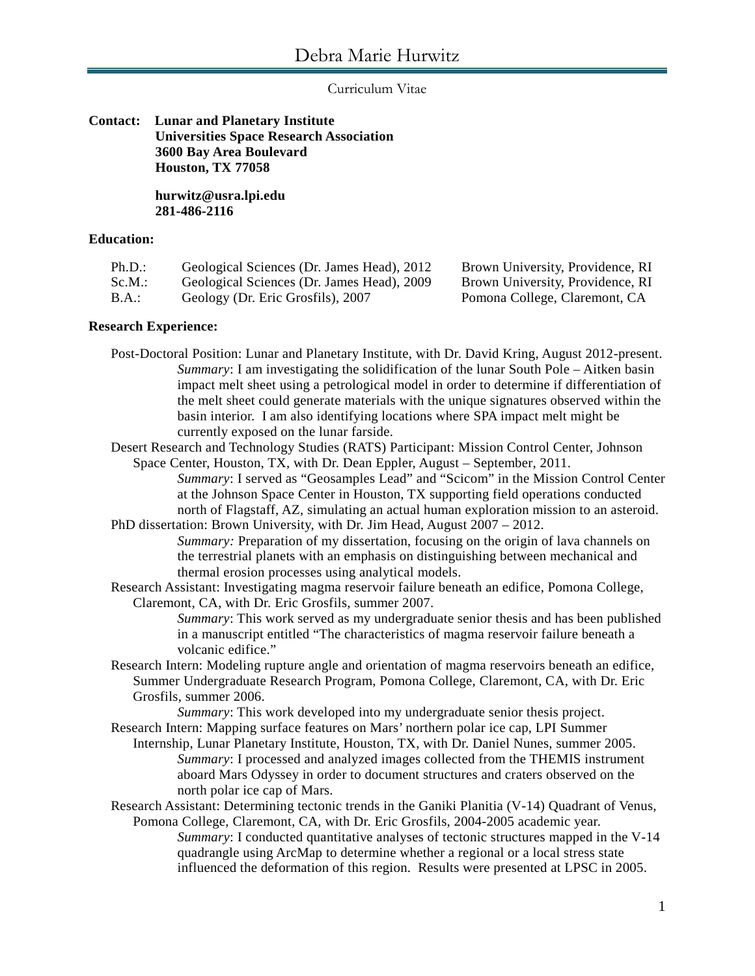Curriculum Vitae

# **Contact: Lunar and Planetary Institute Universities Space Research Association 3600 Bay Area Boulevard Houston, TX 77058**

**hurwitz@usra.lpi.edu 281-486-2116**

# **Education:**

| Ph.D.: | Geological Sciences (Dr. James Head), 2012 |
|--------|--------------------------------------------|
| Sc.M.: | Geological Sciences (Dr. James Head), 2009 |
| - -    | $\sim$ $\sim$ $\sim$ $\sim$                |

Brown University, Providence, RI Brown University, Providence, RI B.A.: Geology (Dr. Eric Grosfils), 2007 Pomona College, Claremont, CA

#### **Research Experience:**

Post-Doctoral Position: Lunar and Planetary Institute, with Dr. David Kring, August 2012-present. *Summary*: I am investigating the solidification of the lunar South Pole – Aitken basin impact melt sheet using a petrological model in order to determine if differentiation of the melt sheet could generate materials with the unique signatures observed within the basin interior. I am also identifying locations where SPA impact melt might be currently exposed on the lunar farside.

Desert Research and Technology Studies (RATS) Participant: Mission Control Center, Johnson Space Center, Houston, TX, with Dr. Dean Eppler, August – September, 2011.

*Summary*: I served as "Geosamples Lead" and "Scicom" in the Mission Control Center at the Johnson Space Center in Houston, TX supporting field operations conducted north of Flagstaff, AZ, simulating an actual human exploration mission to an asteroid.

PhD dissertation: Brown University, with Dr. Jim Head, August 2007 – 2012. *Summary:* Preparation of my dissertation, focusing on the origin of lava channels on the terrestrial planets with an emphasis on distinguishing between mechanical and thermal erosion processes using analytical models.

Research Assistant: Investigating magma reservoir failure beneath an edifice, Pomona College, Claremont, CA, with Dr. Eric Grosfils, summer 2007.

*Summary*: This work served as my undergraduate senior thesis and has been published in a manuscript entitled "The characteristics of magma reservoir failure beneath a volcanic edifice."

Research Intern: Modeling rupture angle and orientation of magma reservoirs beneath an edifice, Summer Undergraduate Research Program, Pomona College, Claremont, CA, with Dr. Eric Grosfils, summer 2006.

*Summary*: This work developed into my undergraduate senior thesis project. Research Intern: Mapping surface features on Mars' northern polar ice cap, LPI Summer

- Internship, Lunar Planetary Institute, Houston, TX, with Dr. Daniel Nunes, summer 2005. *Summary*: I processed and analyzed images collected from the THEMIS instrument aboard Mars Odyssey in order to document structures and craters observed on the north polar ice cap of Mars.
- Research Assistant: Determining tectonic trends in the Ganiki Planitia (V-14) Quadrant of Venus, Pomona College, Claremont, CA, with Dr. Eric Grosfils, 2004-2005 academic year. *Summary*: I conducted quantitative analyses of tectonic structures mapped in the V-14 quadrangle using ArcMap to determine whether a regional or a local stress state influenced the deformation of this region. Results were presented at LPSC in 2005.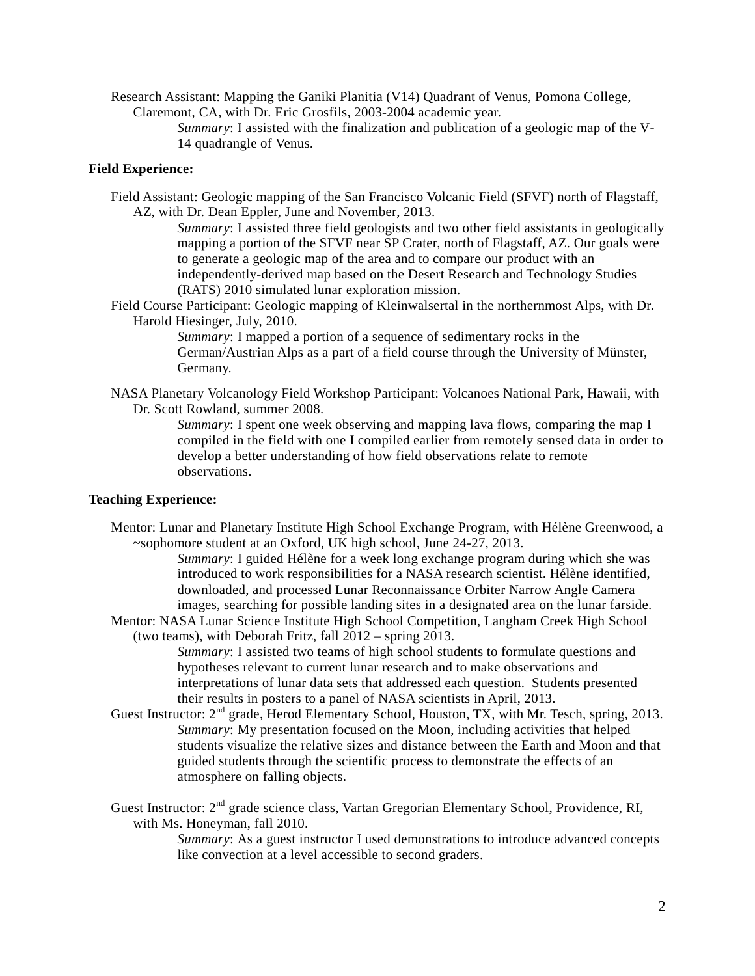Research Assistant: Mapping the Ganiki Planitia (V14) Quadrant of Venus, Pomona College, Claremont, CA, with Dr. Eric Grosfils, 2003-2004 academic year.

> *Summary*: I assisted with the finalization and publication of a geologic map of the V-14 quadrangle of Venus.

### **Field Experience:**

Field Assistant: Geologic mapping of the San Francisco Volcanic Field (SFVF) north of Flagstaff, AZ, with Dr. Dean Eppler, June and November, 2013.

> *Summary*: I assisted three field geologists and two other field assistants in geologically mapping a portion of the SFVF near SP Crater, north of Flagstaff, AZ. Our goals were to generate a geologic map of the area and to compare our product with an independently-derived map based on the Desert Research and Technology Studies (RATS) 2010 simulated lunar exploration mission.

Field Course Participant: Geologic mapping of Kleinwalsertal in the northernmost Alps, with Dr. Harold Hiesinger, July, 2010.

*Summary*: I mapped a portion of a sequence of sedimentary rocks in the German/Austrian Alps as a part of a field course through the University of Münster, Germany.

NASA Planetary Volcanology Field Workshop Participant: Volcanoes National Park, Hawaii, with Dr. Scott Rowland, summer 2008.

*Summary*: I spent one week observing and mapping lava flows, comparing the map I compiled in the field with one I compiled earlier from remotely sensed data in order to develop a better understanding of how field observations relate to remote observations.

### **Teaching Experience:**

Mentor: Lunar and Planetary Institute High School Exchange Program, with Hélène Greenwood, a ~sophomore student at an Oxford, UK high school, June 24-27, 2013.

*Summary*: I guided Hélène for a week long exchange program during which she was introduced to work responsibilities for a NASA research scientist. Hélène identified, downloaded, and processed Lunar Reconnaissance Orbiter Narrow Angle Camera images, searching for possible landing sites in a designated area on the lunar farside.

Mentor: NASA Lunar Science Institute High School Competition, Langham Creek High School (two teams), with Deborah Fritz, fall 2012 – spring 2013.

> *Summary*: I assisted two teams of high school students to formulate questions and hypotheses relevant to current lunar research and to make observations and interpretations of lunar data sets that addressed each question. Students presented their results in posters to a panel of NASA scientists in April, 2013.

Guest Instructor: 2<sup>nd</sup> grade, Herod Elementary School, Houston, TX, with Mr. Tesch, spring, 2013. *Summary*: My presentation focused on the Moon, including activities that helped students visualize the relative sizes and distance between the Earth and Moon and that guided students through the scientific process to demonstrate the effects of an atmosphere on falling objects.

Guest Instructor: 2<sup>nd</sup> grade science class, Vartan Gregorian Elementary School, Providence, RI, with Ms. Honeyman, fall 2010.

> *Summary*: As a guest instructor I used demonstrations to introduce advanced concepts like convection at a level accessible to second graders.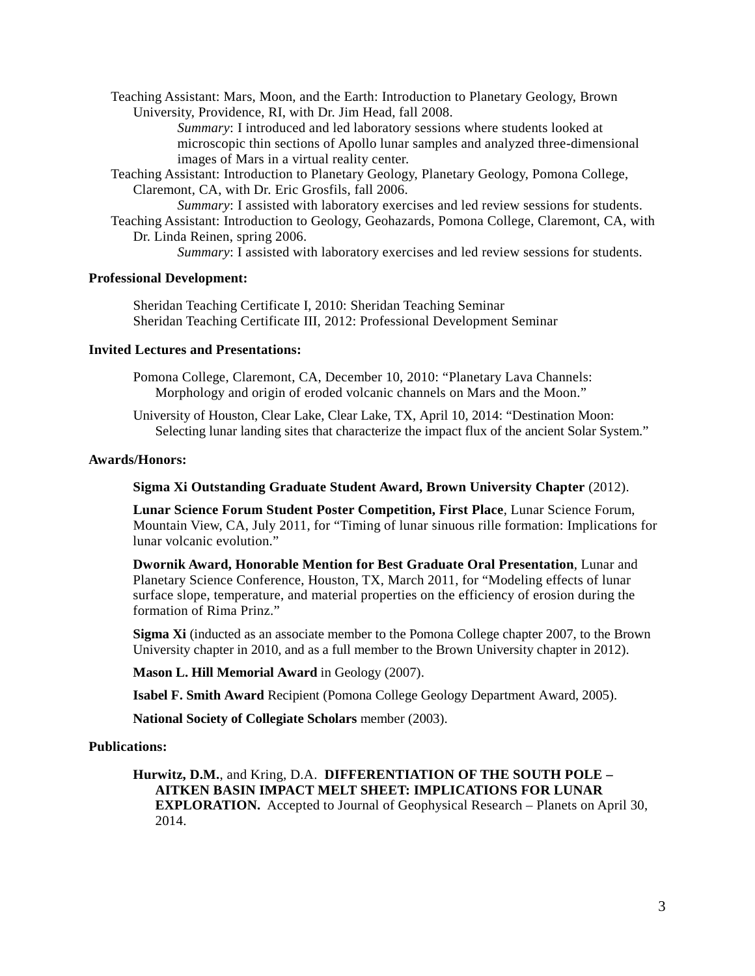Teaching Assistant: Mars, Moon, and the Earth: Introduction to Planetary Geology, Brown University, Providence, RI, with Dr. Jim Head, fall 2008.

> *Summary*: I introduced and led laboratory sessions where students looked at microscopic thin sections of Apollo lunar samples and analyzed three-dimensional images of Mars in a virtual reality center.

Teaching Assistant: Introduction to Planetary Geology, Planetary Geology, Pomona College, Claremont, CA, with Dr. Eric Grosfils, fall 2006.

*Summary*: I assisted with laboratory exercises and led review sessions for students. Teaching Assistant: Introduction to Geology, Geohazards, Pomona College, Claremont, CA, with

Dr. Linda Reinen, spring 2006.

*Summary*: I assisted with laboratory exercises and led review sessions for students.

# **Professional Development:**

Sheridan Teaching Certificate I, 2010: Sheridan Teaching Seminar Sheridan Teaching Certificate III, 2012: Professional Development Seminar

# **Invited Lectures and Presentations:**

Pomona College, Claremont, CA, December 10, 2010: "Planetary Lava Channels: Morphology and origin of eroded volcanic channels on Mars and the Moon."

University of Houston, Clear Lake, Clear Lake, TX, April 10, 2014: "Destination Moon: Selecting lunar landing sites that characterize the impact flux of the ancient Solar System."

### **Awards/Honors:**

**Sigma Xi Outstanding Graduate Student Award, Brown University Chapter** (2012).

**Lunar Science Forum Student Poster Competition, First Place**, Lunar Science Forum, Mountain View, CA, July 2011, for "Timing of lunar sinuous rille formation: Implications for lunar volcanic evolution."

**Dwornik Award, Honorable Mention for Best Graduate Oral Presentation**, Lunar and Planetary Science Conference, Houston, TX, March 2011, for "Modeling effects of lunar surface slope, temperature, and material properties on the efficiency of erosion during the formation of Rima Prinz."

**Sigma Xi** (inducted as an associate member to the Pomona College chapter 2007, to the Brown University chapter in 2010, and as a full member to the Brown University chapter in 2012).

**Mason L. Hill Memorial Award** in Geology (2007).

**Isabel F. Smith Award** Recipient (Pomona College Geology Department Award, 2005).

**National Society of Collegiate Scholars** member (2003).

### **Publications:**

**Hurwitz, D.M.**, and Kring, D.A. **DIFFERENTIATION OF THE SOUTH POLE – AITKEN BASIN IMPACT MELT SHEET: IMPLICATIONS FOR LUNAR EXPLORATION.** Accepted to Journal of Geophysical Research – Planets on April 30, 2014.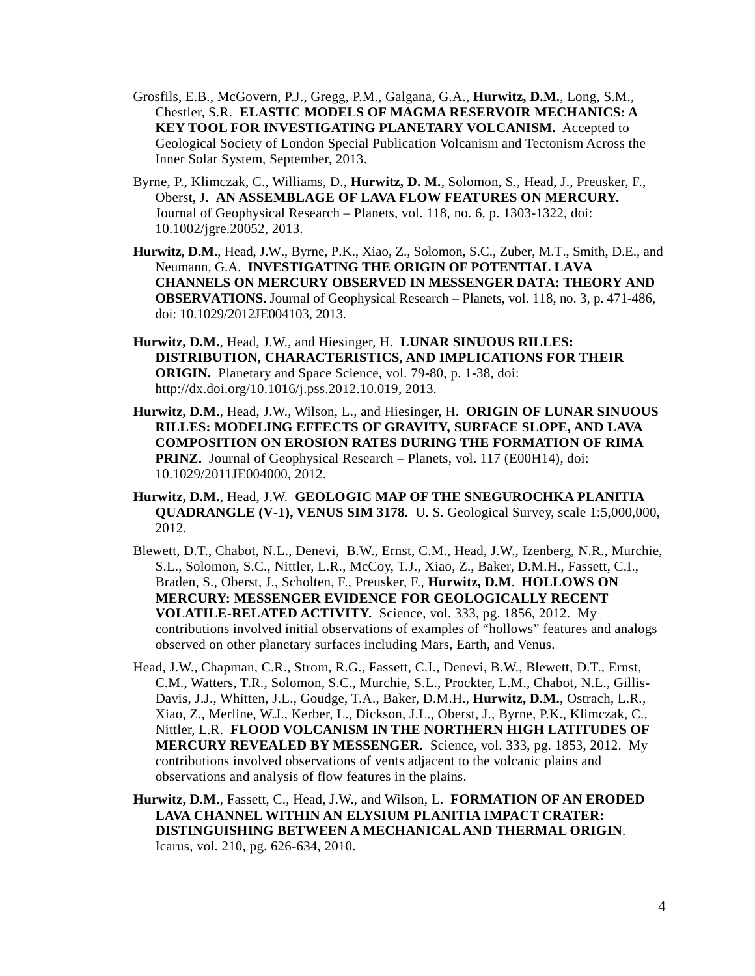- Grosfils, E.B., McGovern, P.J., Gregg, P.M., Galgana, G.A., **Hurwitz, D.M.**, Long, S.M., Chestler, S.R. **ELASTIC MODELS OF MAGMA RESERVOIR MECHANICS: A KEY TOOL FOR INVESTIGATING PLANETARY VOLCANISM.** Accepted to Geological Society of London Special Publication Volcanism and Tectonism Across the Inner Solar System, September, 2013.
- Byrne, P., Klimczak, C., Williams, D., **Hurwitz, D. M.**, Solomon, S., Head, J., Preusker, F., Oberst, J. **AN ASSEMBLAGE OF LAVA FLOW FEATURES ON MERCURY.** Journal of Geophysical Research – Planets, vol. 118, no. 6, p. 1303-1322, doi: 10.1002/jgre.20052, 2013.
- **Hurwitz, D.M.**, Head, J.W., Byrne, P.K., Xiao, Z., Solomon, S.C., Zuber, M.T., Smith, D.E., and Neumann, G.A. **INVESTIGATING THE ORIGIN OF POTENTIAL LAVA CHANNELS ON MERCURY OBSERVED IN MESSENGER DATA: THEORY AND OBSERVATIONS.** Journal of Geophysical Research – Planets, vol. 118, no. 3, p. 471-486, doi: 10.1029/2012JE004103, 2013.
- **Hurwitz, D.M.**, Head, J.W., and Hiesinger, H. **LUNAR SINUOUS RILLES: DISTRIBUTION, CHARACTERISTICS, AND IMPLICATIONS FOR THEIR ORIGIN.** Planetary and Space Science, vol. 79-80, p. 1-38, doi: http://dx.doi.org/10.1016/j.pss.2012.10.019, 2013.
- **Hurwitz, D.M.**, Head, J.W., Wilson, L., and Hiesinger, H. **ORIGIN OF LUNAR SINUOUS RILLES: MODELING EFFECTS OF GRAVITY, SURFACE SLOPE, AND LAVA COMPOSITION ON EROSION RATES DURING THE FORMATION OF RIMA PRINZ.** Journal of Geophysical Research – Planets, vol. 117 (E00H14), doi: 10.1029/2011JE004000, 2012.
- **Hurwitz, D.M.**, Head, J.W. **GEOLOGIC MAP OF THE SNEGUROCHKA PLANITIA QUADRANGLE (V-1), VENUS SIM 3178.** U. S. Geological Survey, scale 1:5,000,000, 2012.
- Blewett, D.T., Chabot, N.L., Denevi, B.W., Ernst, C.M., Head, J.W., Izenberg, N.R., Murchie, S.L., Solomon, S.C., Nittler, L.R., McCoy, T.J., Xiao, Z., Baker, D.M.H., Fassett, C.I., Braden, S., Oberst, J., Scholten, F., Preusker, F., **Hurwitz, D.M**. **HOLLOWS ON MERCURY: MESSENGER EVIDENCE FOR GEOLOGICALLY RECENT VOLATILE-RELATED ACTIVITY.** Science, vol. 333, pg. 1856, 2012. My contributions involved initial observations of examples of "hollows" features and analogs observed on other planetary surfaces including Mars, Earth, and Venus.
- Head, J.W., Chapman, C.R., Strom, R.G., Fassett, C.I., Denevi, B.W., Blewett, D.T., Ernst, C.M., Watters, T.R., Solomon, S.C., Murchie, S.L., Prockter, L.M., Chabot, N.L., Gillis-Davis, J.J., Whitten, J.L., Goudge, T.A., Baker, D.M.H., **Hurwitz, D.M.**, Ostrach, L.R., Xiao, Z., Merline, W.J., Kerber, L., Dickson, J.L., Oberst, J., Byrne, P.K., Klimczak, C., Nittler, L.R. **FLOOD VOLCANISM IN THE NORTHERN HIGH LATITUDES OF MERCURY REVEALED BY MESSENGER.** Science, vol. 333, pg. 1853, 2012. My contributions involved observations of vents adjacent to the volcanic plains and observations and analysis of flow features in the plains.
- **Hurwitz, D.M.**, Fassett, C., Head, J.W., and Wilson, L. **FORMATION OF AN ERODED LAVA CHANNEL WITHIN AN ELYSIUM PLANITIA IMPACT CRATER: DISTINGUISHING BETWEEN A MECHANICAL AND THERMAL ORIGIN**. Icarus, vol. 210, pg. 626-634, 2010.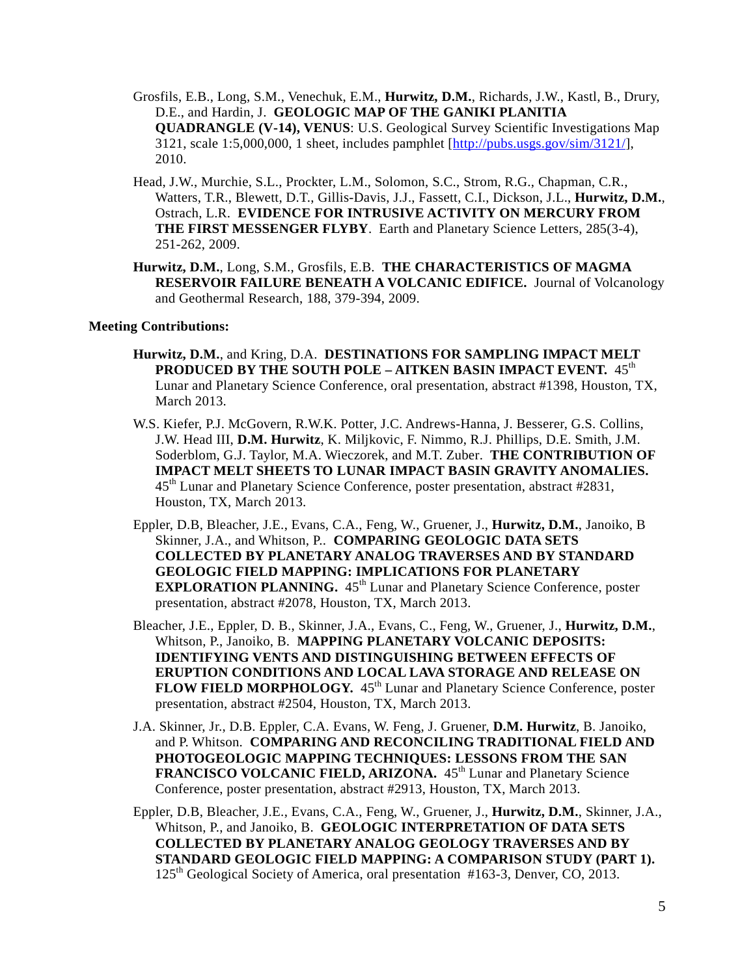- Grosfils, E.B., Long, S.M., Venechuk, E.M., **Hurwitz, D.M.**, Richards, J.W., Kastl, B., Drury, D.E., and Hardin, J. **GEOLOGIC MAP OF THE GANIKI PLANITIA QUADRANGLE (V-14), VENUS**: U.S. Geological Survey Scientific Investigations Map 3121, scale 1:5,000,000, 1 sheet, includes pamphlet [\[http://pubs.usgs.gov/sim/3121/\]](http://pubs.usgs.gov/sim/3121/), 2010.
- Head, J.W., Murchie, S.L., Prockter, L.M., Solomon, S.C., Strom, R.G., Chapman, C.R., Watters, T.R., Blewett, D.T., Gillis-Davis, J.J., Fassett, C.I., Dickson, J.L., **Hurwitz, D.M.**, Ostrach, L.R. **EVIDENCE FOR INTRUSIVE ACTIVITY ON MERCURY FROM THE FIRST MESSENGER FLYBY**. Earth and Planetary Science Letters, 285(3-4), 251-262, 2009.
- **Hurwitz, D.M.**, Long, S.M., Grosfils, E.B. **THE CHARACTERISTICS OF MAGMA RESERVOIR FAILURE BENEATH A VOLCANIC EDIFICE.** Journal of Volcanology and Geothermal Research, 188, 379-394, 2009.

# **Meeting Contributions:**

- **Hurwitz, D.M.**, and Kring, D.A. **DESTINATIONS FOR SAMPLING IMPACT MELT PRODUCED BY THE SOUTH POLE – AITKEN BASIN IMPACT EVENT.** 45th Lunar and Planetary Science Conference, oral presentation, abstract #1398, Houston, TX, March 2013.
- W.S. Kiefer, P.J. McGovern, R.W.K. Potter, J.C. Andrews-Hanna, J. Besserer, G.S. Collins, J.W. Head III, **D.M. Hurwitz**, K. Miljkovic, F. Nimmo, R.J. Phillips, D.E. Smith, J.M. Soderblom, G.J. Taylor, M.A. Wieczorek, and M.T. Zuber. **THE CONTRIBUTION OF IMPACT MELT SHEETS TO LUNAR IMPACT BASIN GRAVITY ANOMALIES.** 45th Lunar and Planetary Science Conference, poster presentation, abstract #2831, Houston, TX, March 2013.
- Eppler, D.B, Bleacher, J.E., Evans, C.A., Feng, W., Gruener, J., **Hurwitz, D.M.**, Janoiko, B Skinner, J.A., and Whitson, P.. **COMPARING GEOLOGIC DATA SETS COLLECTED BY PLANETARY ANALOG TRAVERSES AND BY STANDARD GEOLOGIC FIELD MAPPING: IMPLICATIONS FOR PLANETARY EXPLORATION PLANNING.** 45<sup>th</sup> Lunar and Planetary Science Conference, poster presentation, abstract #2078, Houston, TX, March 2013.
- Bleacher, J.E., Eppler, D. B., Skinner, J.A., Evans, C., Feng, W., Gruener, J., **Hurwitz, D.M.**, Whitson, P., Janoiko, B. **MAPPING PLANETARY VOLCANIC DEPOSITS: IDENTIFYING VENTS AND DISTINGUISHING BETWEEN EFFECTS OF ERUPTION CONDITIONS AND LOCAL LAVA STORAGE AND RELEASE ON FLOW FIELD MORPHOLOGY.** 45<sup>th</sup> Lunar and Planetary Science Conference, poster presentation, abstract #2504, Houston, TX, March 2013.
- J.A. Skinner, Jr., D.B. Eppler, C.A. Evans, W. Feng, J. Gruener, **D.M. Hurwitz**, B. Janoiko, and P. Whitson. **COMPARING AND RECONCILING TRADITIONAL FIELD AND PHOTOGEOLOGIC MAPPING TECHNIQUES: LESSONS FROM THE SAN FRANCISCO VOLCANIC FIELD, ARIZONA.** 45<sup>th</sup> Lunar and Planetary Science Conference, poster presentation, abstract #2913, Houston, TX, March 2013.
- Eppler, D.B, Bleacher, J.E., Evans, C.A., Feng, W., Gruener, J., **Hurwitz, D.M.**, Skinner, J.A., Whitson, P., and Janoiko, B. **GEOLOGIC INTERPRETATION OF DATA SETS COLLECTED BY PLANETARY ANALOG GEOLOGY TRAVERSES AND BY STANDARD GEOLOGIC FIELD MAPPING: A COMPARISON STUDY (PART 1).** 125th Geological Society of America, oral presentation #163-3, Denver, CO, 2013.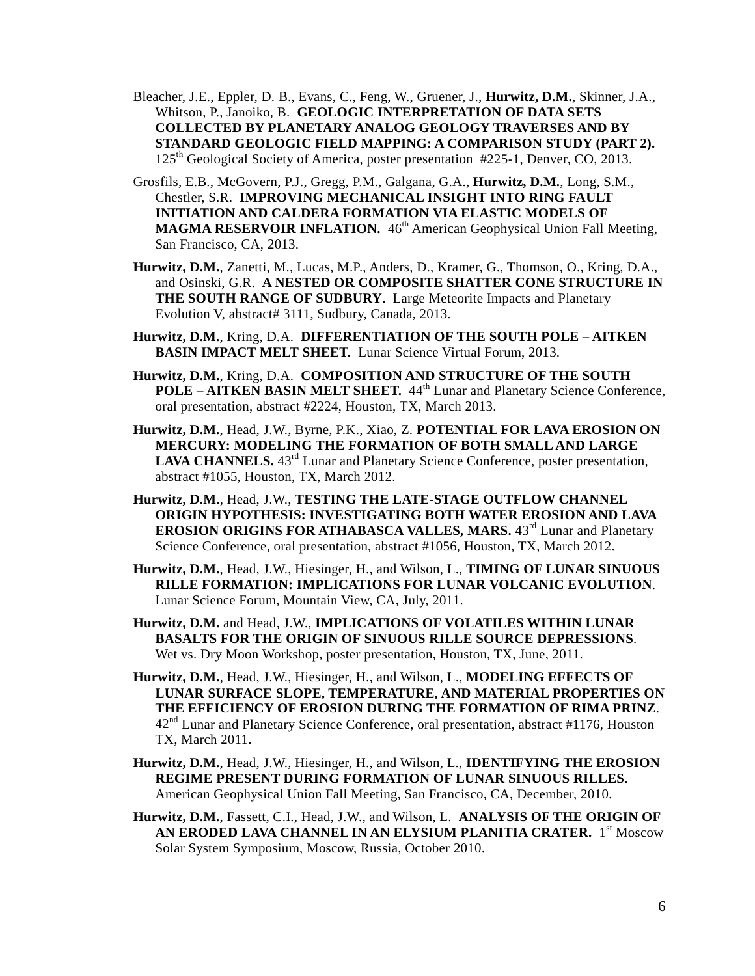- Bleacher, J.E., Eppler, D. B., Evans, C., Feng, W., Gruener, J., **Hurwitz, D.M.**, Skinner, J.A., Whitson, P., Janoiko, B. **GEOLOGIC INTERPRETATION OF DATA SETS COLLECTED BY PLANETARY ANALOG GEOLOGY TRAVERSES AND BY STANDARD GEOLOGIC FIELD MAPPING: A COMPARISON STUDY (PART 2).** 125th Geological Society of America, poster presentation #225-1, Denver, CO, 2013.
- Grosfils, E.B., McGovern, P.J., Gregg, P.M., Galgana, G.A., **Hurwitz, D.M.**, Long, S.M., Chestler, S.R. **IMPROVING MECHANICAL INSIGHT INTO RING FAULT INITIATION AND CALDERA FORMATION VIA ELASTIC MODELS OF MAGMA RESERVOIR INFLATION.** 46<sup>th</sup> American Geophysical Union Fall Meeting, San Francisco, CA, 2013.
- **Hurwitz, D.M.**, Zanetti, M., Lucas, M.P., Anders, D., Kramer, G., Thomson, O., Kring, D.A., and Osinski, G.R. **A NESTED OR COMPOSITE SHATTER CONE STRUCTURE IN THE SOUTH RANGE OF SUDBURY.** Large Meteorite Impacts and Planetary Evolution V, abstract# 3111, Sudbury, Canada, 2013.
- **Hurwitz, D.M.**, Kring, D.A. **DIFFERENTIATION OF THE SOUTH POLE – AITKEN BASIN IMPACT MELT SHEET.** Lunar Science Virtual Forum, 2013.
- **Hurwitz, D.M.**, Kring, D.A. **COMPOSITION AND STRUCTURE OF THE SOUTH POLE – AITKEN BASIN MELT SHEET.** 44th Lunar and Planetary Science Conference, oral presentation, abstract #2224, Houston, TX, March 2013.
- **Hurwitz, D.M.**, Head, J.W., Byrne, P.K., Xiao, Z. **POTENTIAL FOR LAVA EROSION ON MERCURY: MODELING THE FORMATION OF BOTH SMALL AND LARGE**  LAVA CHANNELS. 43<sup>rd</sup> Lunar and Planetary Science Conference, poster presentation, abstract #1055, Houston, TX, March 2012.
- **Hurwitz, D.M.**, Head, J.W., **TESTING THE LATE-STAGE OUTFLOW CHANNEL ORIGIN HYPOTHESIS: INVESTIGATING BOTH WATER EROSION AND LAVA EROSION ORIGINS FOR ATHABASCA VALLES, MARS.** 43<sup>rd</sup> Lunar and Planetary Science Conference, oral presentation, abstract #1056, Houston, TX, March 2012.
- **Hurwitz, D.M.**, Head, J.W., Hiesinger, H., and Wilson, L., **TIMING OF LUNAR SINUOUS RILLE FORMATION: IMPLICATIONS FOR LUNAR VOLCANIC EVOLUTION**. Lunar Science Forum, Mountain View, CA, July, 2011.
- **Hurwitz, D.M.** and Head, J.W., **IMPLICATIONS OF VOLATILES WITHIN LUNAR BASALTS FOR THE ORIGIN OF SINUOUS RILLE SOURCE DEPRESSIONS**. Wet vs. Dry Moon Workshop, poster presentation, Houston, TX, June, 2011.
- **Hurwitz, D.M.**, Head, J.W., Hiesinger, H., and Wilson, L., **MODELING EFFECTS OF LUNAR SURFACE SLOPE, TEMPERATURE, AND MATERIAL PROPERTIES ON THE EFFICIENCY OF EROSION DURING THE FORMATION OF RIMA PRINZ**.  $42<sup>nd</sup>$  Lunar and Planetary Science Conference, oral presentation, abstract #1176, Houston TX, March 2011.
- **Hurwitz, D.M.**, Head, J.W., Hiesinger, H., and Wilson, L., **IDENTIFYING THE EROSION REGIME PRESENT DURING FORMATION OF LUNAR SINUOUS RILLES**. American Geophysical Union Fall Meeting, San Francisco, CA, December, 2010.
- **Hurwitz, D.M.**, Fassett, C.I., Head, J.W., and Wilson, L. **ANALYSIS OF THE ORIGIN OF AN ERODED LAVA CHANNEL IN AN ELYSIUM PLANITIA CRATER.** 1st Moscow Solar System Symposium, Moscow, Russia, October 2010.